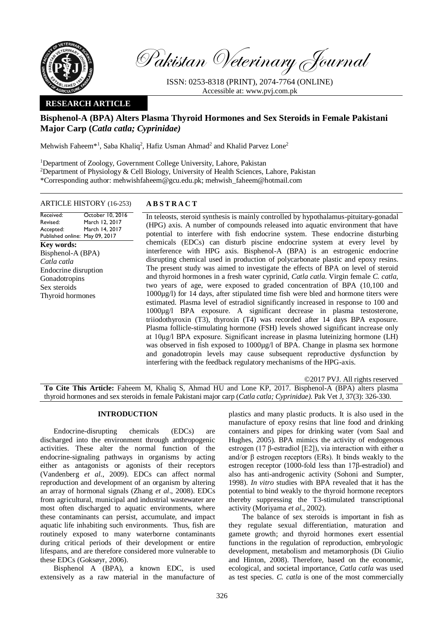

Pakistan Veterinary Journal

ISSN: 0253-8318 (PRINT), 2074-7764 (ONLINE) Accessible at: [www.pvj.com.pk](http://www.pvj.com.pk/)

## **RESEARCH ARTICLE**

# **Bisphenol-A (BPA) Alters Plasma Thyroid Hormones and Sex Steroids in Female Pakistani Major Carp (***Catla catla; Cyprinidae)*

Mehwish Faheem<sup>\*1</sup>, Saba Khaliq<sup>2</sup>, Hafiz Usman Ahmad<sup>2</sup> and Khalid Parvez Lone<sup>2</sup>

<sup>1</sup>Department of Zoology, Government College University, Lahore, Pakistan <sup>2</sup>Department of Physiology & Cell Biology, University of Health Sciences, Lahore, Pakistan \*Corresponding author: mehwishfaheem@gcu.edu.pk; mehwish\_faheem@hotmail.com

#### ARTICLE HISTORY (16-253) **A B S T R A C T**

Received: Revised: Accepted: Published online: May 09, 2017 October 10, 2016 March 12, 2017 March 14, 2017 **Key words:**  Bisphenol-A (BPA) *Catla catla* Endocrine disruption Gonadotropins Sex steroids Thyroid hormones

In teleosts, steroid synthesis is mainly controlled by hypothalamus-pituitary-gonadal (HPG) axis. A number of compounds released into aquatic environment that have potential to interfere with fish endocrine system. These endocrine disturbing chemicals (EDCs) can disturb piscine endocrine system at every level by interference with HPG axis. Bisphenol-A (BPA) is an estrogenic endocrine disrupting chemical used in production of polycarbonate plastic and epoxy resins. The present study was aimed to investigate the effects of BPA on level of steroid and thyroid hormones in a fresh water cyprinid, *Catla catla*. Virgin female *C. catla,*  two years of age, were exposed to graded concentration of BPA (10,100 and 1000µg/l) for 14 days, after stipulated time fish were bled and hormone titers were estimated. Plasma level of estradiol significantly increased in response to 100 and 1000µg/l BPA exposure. A significant decrease in plasma testosterone, triiodothyroxin (T3), thyroxin (T4) was recorded after 14 days BPA exposure. Plasma follicle-stimulating hormone (FSH) levels showed significant increase only at 10μg/l BPA exposure. Significant increase in plasma luteinizing hormone (LH) was observed in fish exposed to 1000µg/l of BPA. Change in plasma sex hormone and gonadotropin levels may cause subsequent reproductive dysfunction by interfering with the feedback regulatory mechanisms of the HPG-axis.

| ©2017 PVJ. All rights reserved                                                                                         |
|------------------------------------------------------------------------------------------------------------------------|
| To Cite This Article: Faheem M, Khaliq S, Ahmad HU and Lone KP, 2017. Bisphenol-A (BPA) alters plasma                  |
| thyroid hormones and sex steroids in female Pakistani major carp (Catla catla; Cyprinidae). Pak Vet J, 37(3): 326-330. |

## **INTRODUCTION**

Endocrine-disrupting chemicals (EDCs) are discharged into the environment through anthropogenic activities. These alter the normal function of the endocrine-signaling pathways in organisms by acting either as antagonists or agonists of their receptors (Vandenberg *et al*., 2009). EDCs can affect normal reproduction and development of an organism by altering an array of hormonal signals (Zhang *et al*., 2008). EDCs from agricultural, municipal and industrial wastewater are most often discharged to aquatic environments, where these contaminants can persist, accumulate, and impact aquatic life inhabiting such environments. Thus, fish are routinely exposed to many waterborne contaminants during critical periods of their development or entire lifespans, and are therefore considered more vulnerable to these EDCs (Goksøyr, 2006).

Bisphenol A (BPA), a known EDC, is used extensively as a raw material in the manufacture of plastics and many plastic products. It is also used in the manufacture of epoxy resins that line food and drinking containers and pipes for drinking water (vom Saal and Hughes, 2005). BPA mimics the activity of endogenous estrogen (17 β-estradiol [E2]), via interaction with either  $α$ and/or  $\beta$  estrogen receptors (ERs). It binds weakly to the estrogen receptor (1000-fold less than 17β-estradiol) and also has anti-androgenic activity (Sohoni and Sumpter, 1998). *In vitro* studies with BPA revealed that it has the potential to bind weakly to the thyroid hormone receptors thereby suppressing the T3-stimulated transcriptional activity (Moriyama *et al*., 2002).

The balance of sex steroids is important in fish as they regulate sexual differentiation, maturation and gamete growth; and thyroid hormones exert essential functions in the regulation of reproduction, embryologic development, metabolism and metamorphosis (Di Giulio and Hinton, 2008). Therefore, based on the economic, ecological, and societal importance, *Catla catla* was used as test species. *C. catla* is one of the most commercially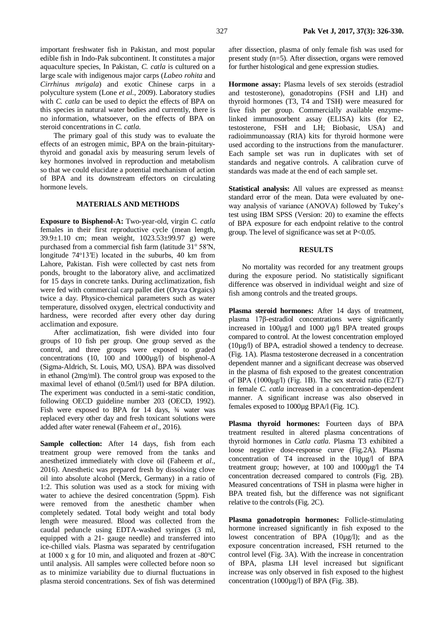important freshwater fish in Pakistan, and most popular edible fish in Indo-Pak subcontinent. It constitutes a major aquaculture species, In Pakistan, *C. catla* is cultured on a large scale with indigenous major carps (*Labeo rohita* and *Cirrhinus mrigala*) and exotic Chinese carps in a polyculture system (Lone *et al*., 2009). Laboratory studies with *C. catla* can be used to depict the effects of BPA on this species in natural water bodies and currently, there is no information, whatsoever, on the effects of BPA on steroid concentrations in *C. catla*.

The primary goal of this study was to evaluate the effects of an estrogen mimic, BPA on the brain-pituitarythyroid and gonadal axis by measuring serum levels of key hormones involved in reproduction and metabolism so that we could elucidate a potential mechanism of action of BPA and its downstream effectors on circulating hormone levels.

#### **MATERIALS AND METHODS**

**Exposure to Bisphenol-A:** Two-year-old, virgin *C. catla*  females in their first reproductive cycle (mean length, 39.9±1.10 cm; mean weight, 1023.53±99.97 g) were purchased from a commercial fish farm (latitude 31° 58′N, longitude 74°13′E) located in the suburbs, 40 km from Lahore, Pakistan. Fish were collected by cast nets from ponds, brought to the laboratory alive, and acclimatized for 15 days in concrete tanks. During acclimatization, fish were fed with commercial carp pallet diet (Oryza Orgaics) twice a day. Physico-chemical parameters such as water temperature, dissolved oxygen, electrical conductivity and hardness, were recorded after every other day during acclimation and exposure.

After acclimatization, fish were divided into four groups of 10 fish per group. One group served as the control, and three groups were exposed to graded concentrations (10, 100 and  $1000\mu\text{g/l}$ ) of bisphenol-A (Sigma-Aldrich, St. Louis, MO, USA). BPA was dissolved in ethanol (2mg/ml). The control group was exposed to the maximal level of ethanol (0.5ml/l) used for BPA dilution. The experiment was conducted in a semi-static condition, following OECD guideline number 203 (OECD, 1992). Fish were exposed to BPA for 14 days,  $\frac{3}{4}$  water was replaced every other day and fresh toxicant solutions were added after water renewal (Faheem *et al*., 2016).

Sample collection: After 14 days, fish from each treatment group were removed from the tanks and anesthetized immediately with clove oil (Faheem *et al*., 2016). Anesthetic was prepared fresh by dissolving clove oil into absolute alcohol (Merck, Germany) in a ratio of 1:2. This solution was used as a stock for mixing with water to achieve the desired concentration (5ppm). Fish were removed from the anesthetic chamber when completely sedated. Total body weight and total body length were measured. Blood was collected from the caudal peduncle using EDTA-washed syringes (3 ml, equipped with a 21- gauge needle) and transferred into ice-chilled vials. Plasma was separated by centrifugation at 1000 x g for 10 min, and aliquoted and frozen at  $-80^{\circ}$ C until analysis. All samples were collected before noon so as to minimize variability due to diurnal fluctuations in plasma steroid concentrations. Sex of fish was determined

after dissection, plasma of only female fish was used for present study (n=5). After dissection, organs were removed for further histological and gene expression studies.

**Hormone assay:** Plasma levels of sex steroids (estradiol and testosterone), gonadotropins (FSH and LH) and thyroid hormones (T3, T4 and TSH) were measured for five fish per group. Commercially available enzymelinked immunosorbent assay (ELISA) kits (for E2, testosterone, FSH and LH; Biobasic, USA) and radioimmunoassay (RIA) kits for thyroid hormone were used according to the instructions from the manufacturer. Each sample set was run in duplicates with set of standards and negative controls. A calibration curve of standards was made at the end of each sample set.

**Statistical analysis:** All values are expressed as means± standard error of the mean. Data were evaluated by oneway analysis of variance (ANOVA) followed by Tukey's test using IBM SPSS (Version: 20) to examine the effects of BPA exposure for each endpoint relative to the control group. The level of significance was set at P<0.05.

## **RESULTS**

No mortality was recorded for any treatment groups during the exposure period. No statistically significant difference was observed in individual weight and size of fish among controls and the treated groups.

**Plasma steroid hormones:** After 14 days of treatment, plasma 17β-estradiol concentrations were significantly increased in 100µg/l and 1000 µg/l BPA treated groups compared to control. At the lowest concentration employed (10µg/l) of BPA, estradiol showed a tendency to decrease. (Fig. 1A). Plasma testosterone decreased in a concentration dependent manner and a significant decrease was observed in the plasma of fish exposed to the greatest concentration of BPA (1000μg/l) (Fig. 1B). The sex steroid ratio (E2/T) in female *C. catla* increased in a concentration-dependent manner. A significant increase was also observed in females exposed to 1000µg BPA/l (Fig. 1C).

**Plasma thyroid hormones:** Fourteen days of BPA treatment resulted in altered plasma concentrations of thyroid hormones in *Catla catla*. Plasma T3 exhibited a loose negative dose-response curve (Fig.2A). Plasma concentration of T4 increased in the 10µg/l of BPA treatment group; however, at 100 and 1000µg/l the T4 concentration decreased compared to controls (Fig. 2B). Measured concentrations of TSH in plasma were higher in BPA treated fish, but the difference was not significant relative to the controls (Fig. 2C).

**Plasma gonadotropin hormones:** Follicle-stimulating hormone increased significantly in fish exposed to the lowest concentration of BPA (10µg/l); and as the exposure concentration increased, FSH returned to the control level (Fig. 3A). With the increase in concentration of BPA, plasma LH level increased but significant increase was only observed in fish exposed to the highest concentration  $(1000\mu g/l)$  of BPA (Fig. 3B).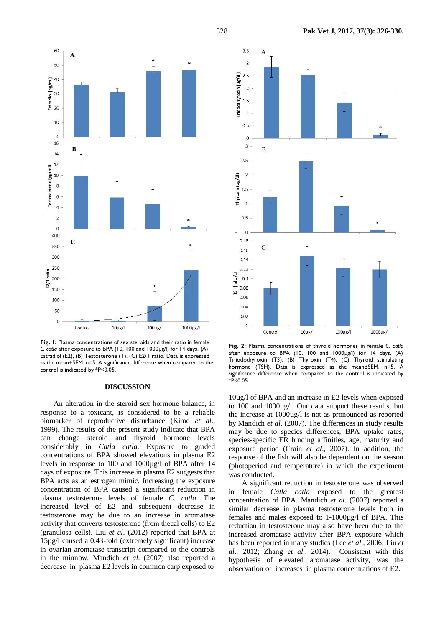

**Fig. 1:** Plasma concentrations of sex steroids and their ratio in female *C. catla* after exposure to BPA (10, 100 and 1000µg/l) for 14 days. (A) Estradiol (E2), (B) Testosterone (T). (C) E2/T ratio. Data is expressed as the mean±SEM. n=5. A significance difference when compared to the control is indicated by \*P<0.05.

## **DISCUSSION**

An alteration in the steroid sex hormone balance, in response to a toxicant, is considered to be a reliable biomarker of reproductive disturbance (Kime *et al*., 1999). The results of the present study indicate that BPA can change steroid and thyroid hormone levels considerably in *Catla catla*. Exposure to graded concentrations of BPA showed elevations in plasma E2 levels in response to 100 and 1000µg/l of BPA after 14 days of exposure. This increase in plasma E2 suggests that BPA acts as an estrogen mimic. Increasing the exposure concentration of BPA caused a significant reduction in plasma testosterone levels of female *C. catla*. The increased level of E2 and subsequent decrease in testosterone may be due to an increase in aromatase activity that converts testosterone (from thecal cells) to E2 (granulosa cells). Liu *et al*. (2012) reported that BPA at 15µg/l caused a 0.43-fold (extremely significant) increase in ovarian aromatase transcript compared to the controls in the minnow. Mandich *et al*. (2007) also reported a decrease in plasma E2 levels in common carp exposed to



**Fig. 2:** Plasma concentrations of thyroid hormones in female *C. catla* after exposure to BPA (10, 100 and 1000µg/l) for 14 days. (A) Triiodothyroxin (T3), (B) Thyroxin (T4). (C) Thyroid stimulating hormone (TSH). Data is expressed as the mean±SEM. n=5. A significance difference when compared to the control is indicated by \*P<0.05.

10µg/l of BPA and an increase in E2 levels when exposed to 100 and 1000µg/l. Our data support these results, but the increase at 1000µg/l is not as pronounced as reported by Mandich *et al*. (2007). The differences in study results may be due to species differences, BPA uptake rates, species-specific ER binding affinities, age, maturity and exposure period (Crain *et al*., 2007). In addition, the response of the fish will also be dependent on the season (photoperiod and temperature) in which the experiment was conducted.

A significant reduction in testosterone was observed in female *Catla catla* exposed to the greatest concentration of BPA. Mandich *et al*. (2007) reported a similar decrease in plasma testosterone levels both in females and males exposed to 1-1000µg/l of BPA. This reduction in testosterone may also have been due to the increased aromatase activity after BPA exposure which has been reported in many studies (Lee *et al*., 2006; Liu *et al*., 2012; Zhang *et al*., 2014). Consistent with this hypothesis of elevated aromatase activity, was the observation of increases in plasma concentrations of E2.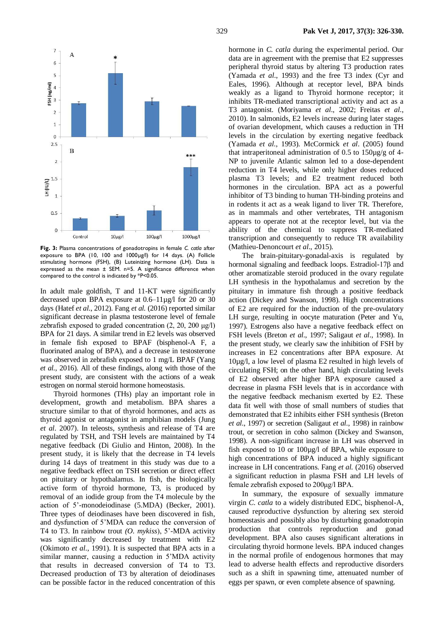

**Fig. 3:** Plasma concentrations of gonadotropins in female *C. catla* after exposure to BPA (10, 100 and 1000µg/l) for 14 days. (A) Follicle stimulating hormone (FSH), (B) Luteinizing hormone (LH). Data is expressed as the mean ± SEM. n=5. A significance difference when compared to the control is indicated by \*P<0.05.

In adult male goldfish, T and 11-KT were significantly decreased upon BPA exposure at 0.6–11µg/l for 20 or 30 days (Hatef *et al*., 2012). Fang *et al.* (2016) reported similar significant decrease in plasma testosterone level of female zebrafish exposed to graded concentration  $(2, 20, 200 \mu g/l)$ BPA for 21 days. A similar trend in E2 levels was observed in female fish exposed to BPAF (bisphenol-A F, a fluorinated analog of BPA), and a decrease in testosterone was observed in zebrafish exposed to 1 mg/L BPAF (Yang *et al.,* 2016). All of these findings, along with those of the present study, are consistent with the actions of a weak estrogen on normal steroid hormone homeostasis.

Thyroid hormones (THs) play an important role in development, growth and metabolism. BPA shares a structure similar to that of thyroid hormones, and acts as thyroid agonist or antagonist in amphibian models (Jung *et al*. 2007). In teleosts, synthesis and release of T4 are regulated by TSH, and TSH levels are maintained by T4 negative feedback (Di Giulio and Hinton, 2008). In the present study, it is likely that the decrease in T4 levels during 14 days of treatment in this study was due to a negative feedback effect on TSH secretion or direct effect on pituitary or hypothalamus. In fish, the biologically active form of thyroid hormone, T3, is produced by removal of an iodide group from the T4 molecule by the action of 5'-monodeiodinase (5.MDA) (Becker, 2001). Three types of deiodinases have been discovered in fish, and dysfunction of 5'MDA can reduce the conversion of T4 to T3. In rainbow trout *(O*. *mykiss*), 5'-MDA activity was significantly decreased by treatment with E2 (Okimoto *et al*., 1991). It is suspected that BPA acts in a similar manner, causing a reduction in 5'MDA activity that results in decreased conversion of T4 to T3. Decreased production of T3 by alteration of deiodinases can be possible factor in the reduced concentration of this

hormone in *C. catla* during the experimental period. Our data are in agreement with the premise that E2 suppresses peripheral thyroid status by altering T3 production rates (Yamada *et al*., 1993) and the free T3 index (Cyr and Eales, 1996). Although at receptor level, BPA binds weakly as a ligand to Thyroid hormone receptor; it inhibits TR-mediated transcriptional activity and act as a T3 antagonist. (Moriyama *et al*., 2002; Freitas *et al*., 2010). In salmonids, E2 levels increase during later stages of ovarian development, which causes a reduction in TH levels in the circulation by exerting negative feedback (Yamada *et al*., 1993). McCormick *et al*. (2005) found that intraperitoneal administration of 0.5 to  $150\mu$ g/g of 4-NP to juvenile Atlantic salmon led to a dose-dependent reduction in T4 levels, while only higher doses reduced plasma T3 levels; and E2 treatment reduced both hormones in the circulation. BPA act as a powerful inhibitor of T3 binding to human TH-binding proteins and in rodents it act as a weak ligand to liver TR. Therefore, as in mammals and other vertebrates, TH antagonism appears to operate not at the receptor level, but via the ability of the chemical to suppress TR-mediated transcription and consequently to reduce TR availability (Mathieu-Denoncourt *et al*., 2015).

The brain-pituitary-gonadal-axis is regulated by hormonal signaling and feedback loops. Estradiol-17β and other aromatizable steroid produced in the ovary regulate LH synthesis in the hypothalamus and secretion by the pituitary in immature fish through a positive feedback action (Dickey and Swanson, 1998). High concentrations of E2 are required for the induction of the pre-ovulatory LH surge, resulting in oocyte maturation (Peter and Yu, 1997). Estrogens also have a negative feedback effect on FSH levels (Breton *et al*., 1997; Saligaut *et al*., 1998). In the present study, we clearly saw the inhibition of FSH by increases in E2 concentrations after BPA exposure. At 10µg/l, a low level of plasma E2 resulted in high levels of circulating FSH; on the other hand, high circulating levels of E2 observed after higher BPA exposure caused a decrease in plasma FSH levels that is in accordance with the negative feedback mechanism exerted by E2. These data fit well with those of small numbers of studies that demonstrated that E2 inhibits either FSH synthesis (Breton *et al*., 1997) or secretion (Saligaut *et al*., 1998) in rainbow trout, or secretion in coho salmon (Dickey and Swanson, 1998). A non-significant increase in LH was observed in fish exposed to 10 or 100µg/l of BPA, while exposure to high concentrations of BPA induced a highly significant increase in LH concentrations. Fang *et al.* (2016) observed a significant reduction in plasma FSH and LH levels of female zebrafish exposed to 200μg/l BPA.

In summary, the exposure of sexually immature virgin *C. catla* to a widely distributed EDC, bisphenol-A, caused reproductive dysfunction by altering sex steroid homeostasis and possibly also by disturbing gonadotropin production that controls reproduction and gonad development. BPA also causes significant alterations in circulating thyroid hormone levels. BPA induced changes in the normal profile of endogenous hormones that may lead to adverse health effects and reproductive disorders such as a shift in spawning time, attenuated number of eggs per spawn, or even complete absence of spawning.